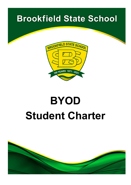# **Brookfield State School**



# **BYOD Student Charter**

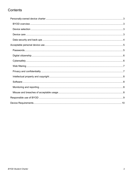# Contents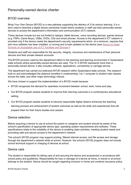# <span id="page-2-0"></span>Personally-owned device charter

#### <span id="page-2-1"></span>BYOD overview

Bring Your Own Device (BYOD) is a new pathway supporting the delivery of 21st century learning. It is a term used to describe a digital device ownership model where students or staff use their personally-owned devices to access the department's information and communication (ICT) network.

These devices include but are not limited to laptops, tablet devices, voice recording devices, games devices (e.g. PSPs, Game Boys), USBs, DVDs, CDs and smart phones. Access to the department's ICT network is provided only if the device meets the department's security requirements which, at a minimum, requires that anti-virus software has been installed, is running and is kept updated on the device (see Advice for State [Schools on Acceptable use of ICT Facilities and Devices.](https://ppr.qed.qld.gov.au/attachment/advice-for-state-schools-on-acceptable-use-of-ict-facilities-and-devices.docx))

Students and staff are responsible for the security, integrity, insurance and maintenance of their personal devices and their private network accounts.

The BYOD acronym used by the department refers to the teaching and learning environment in Queensland state schools where personally-owned devices are used. The 'D' in BYOD represents more than a personally-owned device; it also includes software, applications, connectivity or carriage service.

The department has carried out extensive BYOD research within Queensland state schools. The research built on and acknowledged the distance travelled in implementing 1-to-1 computer to student ratio classes across the state, and other major technology rollouts.

We have chosen to support the implementation of a BYOD model because:

- BYOD recognises the demand for seamless movement between school, work, home and play.
- Our BYOD program assists students to improve their learning outcomes in a contemporary educational setting.
- Our BYOD program assists students to become responsible digital citizens enhances the teaching learning process and achievement of student outcomes as well as the skills and experiences that will prepare them for their future studies and careers.

#### <span id="page-2-2"></span>Device selection

Before acquiring a device to use at school the parent or caregiver and student should be aware of the school's specification of appropriate device type, operating system requirements and software. These specifications relate to the suitability of the device to enabling class activities, meeting student needs and promoting safe and secure access to the department's network.

The school's BYOD program may support printing, filtered internet access, and file access and storage through the department's network while at school. However, the school's BYOD program does not include school technical support or charging of devices at school.

#### <span id="page-2-3"></span>Device care

The student is responsible for taking care of and securing the device and accessories in accordance with school policy and guidelines. Responsibility for loss or damage of a device at home, in transit or at school belongs to the student. Advice should be sought regarding inclusion in home and contents insurance policy.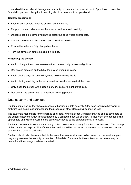It is advised that accidental damage and warranty policies are discussed at point of purchase to minimise financial impact and disruption to learning should a device not be operational.

#### *General precautions*

- Food or drink should never be placed near the device.
- Plugs, cords and cables should be inserted and removed carefully.
- Devices should be carried within their protective case where appropriate.
- Carrying devices with the screen open should be avoided.
- Ensure the battery is fully charged each day.
- Turn the device off before placing it in its bag.

#### *Protecting the screen*

- Avoid poking at the screen even a touch screen only requires a light touch.
- Don't place pressure on the lid of the device when it is closed.
- Avoid placing anything on the keyboard before closing the lid.
- Avoid placing anything in the carry case that could press against the cover.
- Only clean the screen with a clean, soft, dry cloth or an anti-static cloth.
- Don't clean the screen with a household cleaning product.

#### <span id="page-3-0"></span>Data security and back-ups

Students must ensure they have a process of backing up data securely. Otherwise, should a hardware or software fault occur, assignments and the products of other class activities may be lost.

The student is responsible for the backup of all data. While at school, students may be able to save data to the school's network, which is safeguarded by a scheduled backup solution. All files must be scanned using appropriate anti-virus software before being downloaded to the department's ICT network.

Students are also able to save data locally to their device for use away from the school network. The backup of this data is the responsibility of the student and should be backed-up on an external device, such as an external hard drive or USB drive.

Students should also be aware that, in the event that any repairs need to be carried out the service agents may not guarantee the security or retention of the data. For example, the contents of the device may be deleted and the storage media reformatted.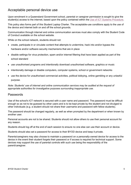### <span id="page-4-0"></span>Acceptable personal device use

Upon enrolment in a Queensland Government school, parental or caregiver permission is sought to give the student(s) access to the internet, based upon the policy contained within the [Use of ICT Systems Procedure.](https://ppr.qed.qld.gov.au/attachment/use-of-ict-systems-procedure.pdf)

This policy also forms part of this Student Laptop Charter. The acceptable-use conditions apply to the use of the device and internet both on and off the school grounds.

Communication through internet and online communication services must also comply with the Student Code of Conduct available on the school website.

While on the school network, students should not:

- create, participate in or circulate content that attempts to undermine, hack into and/or bypass the hardware and/or software security mechanisms that are in place
- disable settings for virus protection, spam and/or internet filtering that have been applied as part of the school standard
- use unauthorised programs and intentionally download unauthorised software, graphics or music
- intentionally damage or disable computers, computer systems, school or government networks
- use the device for unauthorised commercial activities, political lobbying, online gambling or any unlawful purpose.

*Note: Students' use of internet and online communication services may be audited at the request of appropriate authorities for investigative purposes surrounding inappropriate use.* 

#### <span id="page-4-1"></span>Passwords

Use of the school's ICT network is secured with a user name and password. The password must be difficult enough so as not to be guessed by other users and is to be kept private by the student and not divulged to other individuals (e.g. a student should not share their username and password with fellow students).

The password should be changed regularly, as well as when prompted by the department or when known by another user.

Personal accounts are not to be shared. Students should not allow others to use their personal account for any reason.

Students should log off at the end of each session to ensure no one else can use their account or device.

Students should also set a password for access to their BYOD device and keep it private.

Parents/caregivers may also choose to maintain a password on a personally-owned device for access to the device in the event their student forgets their password or if access is required for technical support. Some devices may support the use of parental controls with such use being the responsibility of the parent/caregiver.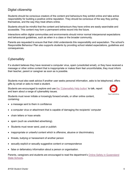#### <span id="page-5-0"></span>Digital citizenship

Students should be conscious creators of the content and behaviours they exhibit online and take active responsibility for building a positive online reputation. They should be conscious of the way they portray themselves, and the way they treat others online.

Students should be mindful that the content and behaviours they have online are easily searchable and accessible. This content may form a permanent online record into the future.

Interactions within digital communities and environments should mirror normal interpersonal expectations and behavioural guidelines, such as when in a class or the broader community.

Parents are requested to ensure that their child understands this responsibility and expectation. The school's Responsible Behaviour Plan also supports students by providing school related expectations, guidelines and consequences.

#### <span id="page-5-1"></span>**Cybersafety**

If a student believes they have received a computer virus, spam (unsolicited email), or they have received a message or other online content that is inappropriate or makes them feel uncomfortable, they must inform their teacher, parent or caregiver as soon as is possible.

Students must also seek advice if another user seeks personal information, asks to be telephoned, offers gifts by email or asks to meet a student.

Students are encouraged to explore and use [the 'Cybersafety Help button'](https://www.esafety.gov.au/report/cyberbullying) to talk, report and learn about a range of cybersafety issues.

Students must never initiate or knowingly forward emails, or other online content, containing:

- a message sent to them in confidence
- a computer virus or attachment that is capable of damaging the recipients' computer
- chain letters or hoax emails
- spam (such as unsolicited advertising).
- Students must never send, post or publish:
- inappropriate or unlawful content which is offensive, abusive or discriminatory
- threats, bullying or harassment of another person
- sexually explicit or sexually suggestive content or correspondence
- false or defamatory information about a person or organisation.

Parents, caregivers and students are encouraged to read the department's [Online Safety in Queensland](https://www.qld.gov.au/__data/assets/pdf_file/0028/145756/online-safety-in-qld-ss.pdf)  [State Schools.](https://www.qld.gov.au/__data/assets/pdf_file/0028/145756/online-safety-in-qld-ss.pdf)

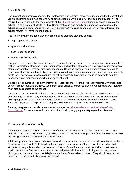#### <span id="page-6-0"></span>Web filtering

The internet has become a powerful tool for teaching and learning, however students need to be careful and vigilant regarding some web content. At all times students, while using ICT facilities and devices, will be required to act in line with the requirements of the [Student Code of Conduct](https://brookfieldss.eq.edu.au/supportandresources/formsanddocuments/documents/student-code-of-conduct.pdf) and any specific rules of the school. To help protect students (and staff) from malicious web activity and inappropriate websites, the school operates a comprehensive web filtering system. Any device connected to the internet through the school network will have filtering applied.

The filtering system provides a layer of protection to staff and students against:

- inappropriate web pages
- spyware and malware
- peer-to-peer sessions
- scams and identity theft.

This purpose-built web filtering solution takes a precautionary approach to blocking websites including those that do not disclose information about their purpose and content. The school's filtering approach represents global best-practice in internet protection measures. However, despite internal departmental controls to manage content on the internet, illegal, dangerous or offensive information may be accessed or accidentally displayed. Teachers will always exercise their duty of care, but avoiding or reducing access to harmful information also requires responsible use by the student.

Students are required to report any internet site accessed that is considered inappropriate. Any suspected security breach involving students, users from other schools, or from outside the Queensland DET network must also be reported to the school.

The personally-owned devices have access to home and other out of school internet services and those services may not include any internet filtering. Parents and caregivers are encouraged to install a local filtering application on the student's device for when they are connected in locations other than school. Parents/caregivers are responsible for appropriate internet use by students outside the school.

Parents, caregivers and students are also encouraged to [visit the website of the Australian eSafety](https://www.esafety.gov.au/)  [Commissioner](https://www.esafety.gov.au/) for resources and practical advice to help young people safely enjoy the online world.

#### <span id="page-6-1"></span>Privacy and confidentiality

Students must not use another student or staff member's username or password to access the school network or another student's device, including not trespassing in another person's files, home drive, email or accessing unauthorised network drives or systems.

Additionally, students should not divulge personal information via the internet or email, to unknown entities or for reasons other than to fulfil the educational program requirements of the school. It is important that students do not publish or disclose the email address of a staff member or student without that person's explicit permission. Students should also not reveal personal information including names, addresses, photographs, credit card details or telephone numbers of themselves or others. They should ensure that privacy and confidentiality is always maintained.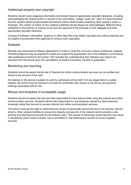#### <span id="page-7-0"></span>Intellectual property and copyright

Students should never plagiarise information and should observe appropriate copyright clearance, including acknowledging the original author or source of any information, images, audio etc. used. It is also important that the student obtain all appropriate permissions before electronically publishing other people's works or drawings. The creator or author of any material published should always be acknowledged. Material being published on the internet or intranet must have the approval of the principal or their delegate and have appropriate copyright clearance.

Copying of software, information, graphics or other data files may violate copyright laws without warning and be subject to prosecution from agencies to enforce such copyrights.

#### <span id="page-7-1"></span>**Software**

Schools may recommend software applications in order to meet the curriculum needs of particular subjects. Parents/caregivers may be required to install and support the appropriate use of the software in accordance with guidelines provided by the school. This includes the understanding that software may need to be removed from the device upon the cancellation of student enrolment, transfer or graduation.

#### <span id="page-7-2"></span>Monitoring and reporting

Students should be aware that all use of internet and online communication services can be audited and traced to the account of the user.

All material on the device is subject to audit by authorised school staff. If at any stage there is a police request, the school may be required to provide the authorities with access to the device and personal holdings associated with its use.

#### <span id="page-7-3"></span>Misuse and breaches of acceptable usage

Students should be aware that they are held responsible for their actions while using the internet and online communication services. Students will be held responsible for any breaches caused by other person(s) knowingly using their account to access internet and online communication services.

The school reserves the right to restrict/remove access of personally owned devices to the intranet, internet, email or other network facilities to ensure the integrity and security of the network and to provide a safe working and learning environment for all network users. The misuse of personally owned devices may result in disciplinary action which includes, but is not limited to, the withdrawal of access to school supplied services.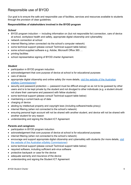# <span id="page-8-0"></span>Responsible use of BYOD

Our goal is to ensure the safe and responsible use of facilities, services and resources available to students through the provision of clear guidelines.

#### **Responsibilities of stakeholders involved in the BYOD program**

#### *School*

- BYOD program induction including information on (but not responsible for) connection, care of device at school, workplace health and safety, appropriate digital citizenship and cybersafety
- network connection at school
- internet filtering (when connected via the school's computer network)
- some technical support (please consult Technical support table below)
- some school-supplied software e.g. Adobe, Microsoft Office 365 …
- printing facilities
- school representative signing of BYOD charter Agreement.

#### *Student*

- participation in BYOD program induction
- acknowledgement that core purpose of device at school is for educational purposes
- care of device
- appropriate digital citizenship and online safety (for more details, visit the website of the Australian [eSafety Commissioner\)](https://www.esafety.gov.au/)
- security and password protection password must be difficult enough so as not to be guessed by other users and is to be kept private by the student and not divulged to other individuals (e.g. a student should not share their username and password with fellow students)
- some technical support (please consult Technical support table below)
- maintaining a current back-up of data
- charging of device
- abiding by intellectual property and copyright laws (including software/media piracy)
- internet filtering (when not connected to the school's network)
- ensuring personal login account will not be shared with another student, and device will not be shared with another student for any reason
- understanding and signing the Student ICT Agreement

#### *Parents and caregivers*

- participation in BYOD program induction
- acknowledgement that core purpose of device at school is for educational purposes
- internet filtering (when not connected to the school's network)
- encourage and support appropriate digital citizenship and cybersafety with students (for more details, [visit](https://www.esafety.gov.au/)  [the website of the Australian eSafety Commissioner\)](https://www.esafety.gov.au/)
- some technical support (please consult Technical support table below)
- required software, including sufficient anti-virus software
- protective backpack or case for the device
- adequate warranty and insurance of the device
- understanding and signing the Student ICT Agreement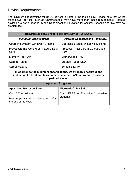# <span id="page-9-0"></span>Device Requirements

The minimum specifications for BYOD devices is listed in the table below. Please note that whilst other newer devices, such as Chromebooks, may have more than these requirements, Android devices are not supported by the Department of Education for security reasons and this may be problematic.

| Required specifications for a Windows Device - 2019/2020                                                                                                          |                                              |  |  |  |  |
|-------------------------------------------------------------------------------------------------------------------------------------------------------------------|----------------------------------------------|--|--|--|--|
| <b>Minimum Specifications</b>                                                                                                                                     | <b>Preferred Specifications (longevity)</b>  |  |  |  |  |
| Operating System: Windows 10 Home                                                                                                                                 | <b>Operating System: Windows 10 Home</b>     |  |  |  |  |
| Processor: Intel Core M or i3 2.0ghz Dual<br>Core                                                                                                                 | Processor: Intel Core i5 2.0ghz Quad<br>Core |  |  |  |  |
| Memory: 4gb RAM                                                                                                                                                   | Memory: 8gb RAM                              |  |  |  |  |
| Storage: 128gb                                                                                                                                                    | Storage: 128gb SSD                           |  |  |  |  |
| Screen size: 10"                                                                                                                                                  | Screen size: 10"                             |  |  |  |  |
| In addition to the minimum specifications, we strongly encourage the<br>inclusion of a front and back camera, keyboard AND a protective case or<br>padded sleeve. |                                              |  |  |  |  |
| <b>Apps and Programs</b>                                                                                                                                          |                                              |  |  |  |  |
| <b>Apps from Microsoft Store</b>                                                                                                                                  | <b>Microsoft Office Suite</b>                |  |  |  |  |
| Cost: \$50 (maximum)                                                                                                                                              | Cost: FREE for Education Queensland          |  |  |  |  |
| How: Apps lists will be distributed before<br>the end of the year.                                                                                                | students                                     |  |  |  |  |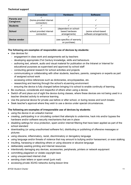#### *Technical support*

|                                         | <b>Connection:</b>                     | Hardware:                  | Software:              |
|-----------------------------------------|----------------------------------------|----------------------------|------------------------|
| <b>Parents and</b><br><b>Caregivers</b> | (home-provided internet<br>connection) |                            |                        |
| <b>Students</b>                         |                                        |                            |                        |
|                                         |                                        | (dependent on school-      |                        |
| <b>School</b>                           | school provided internet               | based hardware             | (some school-based     |
|                                         | connection                             | arrangements)              | software arrangements) |
|                                         |                                        |                            |                        |
| Device vendor                           |                                        | (see specifics of warranty |                        |
|                                         |                                        | on purchase)               |                        |

#### **The following are examples of responsible use of devices by students:**

- Use devices for:
	- − engagement in class work and assignments set by teachers
	- − developing appropriate 21st Century knowledge, skills and behaviours
	- − authoring text, artwork, audio and visual material for publication on the Intranet or Internet for educational purposes as supervised and approved by school staff
	- − conducting general research for school activities and projects
	- − communicating or collaborating with other students, teachers, parents, caregivers or experts as part of assigned school work
	- − accessing online references such as dictionaries, encyclopaedias, etc.
	- − researching and learning through the school's eLearning environment
	- − ensuring the device is fully charged before bringing it to school to enable continuity of learning.
- Be courteous, considerate and respectful of others when using a device.
- Switch off and place out of sight the device during classes, where these devices are not being used in a teacher directed activity to enhance learning.
- Use the personal device for private use before or after school, or during recess and lunch breaks.
- Seek teacher's approval where they wish to use a device under special circumstances.

#### **The following are examples of irresponsible use of devices by students:**

- using the device in an unlawful manner
- creating, participating in or circulating content that attempts to undermine, hack into and/or bypass the hardware and/or software security mechanisms that are in place
- disabling settings for virus protection, spam and/or internet filtering that have been applied as part of the school standard
- downloading (or using unauthorised software for), distributing or publishing of offensive messages or pictures
- using obscene, inflammatory, racist, discriminatory or derogatory language
- using language and/or threats of violence that may amount to bullying and/or harassment, or even stalking
- insulting, harassing or attacking others or using obscene or abusive language
- deliberately wasting printing and Internet resources
- intentionally damaging any devices, accessories, peripherals, printers or network equipment
- committing plagiarism or violate copyright laws
- using unsupervised internet chat
- sending chain letters or spam email (junk mail)
- accessing private 3G/4G networks during lesson time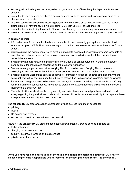- knowingly downloading viruses or any other programs capable of breaching the department's network security
- using the device's camera anywhere a normal camera would be considered inappropriate, such as in change rooms or toilets
- invading someone's privacy by recording personal conversations or daily activities and/or the further distribution (e.g. forwarding, texting, uploading, Bluetooth use etc.) of such material
- using the device (including those with Bluetooth functionality) to cheat during exams or assessments
- take into or use devices at exams or during class assessment unless expressly permitted by school staff.

#### **In addition to this:**

- Information sent from our school network contributes to the community perception of the school. All students using our ICT facilities are encouraged to conduct themselves as positive ambassadors for our school.
- Students using the system must not at any time attempt to access other computer systems, accounts or unauthorised network drives or files or to access other people's devices without their permission and without them present.
- Students must not record, photograph or film any students or school personnel without the express permission of the individual/s concerned and the supervising teacher.
- Students must get permission before copying files from another user. Copying files or passwords belonging to another user without their express permission may constitute plagiarism and/or theft.
- Students need to understand copying of software, information, graphics, or other data files may violate copyright laws without warning and be subject to prosecution from agencies to enforce such copyrights.
- Parents and caregivers need to be aware that damage to devices owned by other students or staff may result in significant consequences in relation to breaches of expectations and guidelines in the school's Responsible Behaviour Plan.
- The school will educate students on cyber bullying, safe internet and email practices and health and safety regarding the physical use of electronic devices. Students have a responsibility to incorporate these safe practices in their daily behaviour at school.

The school's BYOD program supports personally-owned devices in terms of access to:

- printing
- internet
- file access and storage
- support to connect devices to the school network.

However, the school's BYOD program does not support personally-owned devices in regard to:

- technical support
- charging of devices at school
- security, integrity, insurance and maintenance
- private network accounts.

**Once you have read and agree to all of the terms and conditions contained in this BYOD Charter, please complete the Responsible use agreement (on the last page) and return it to the school.**